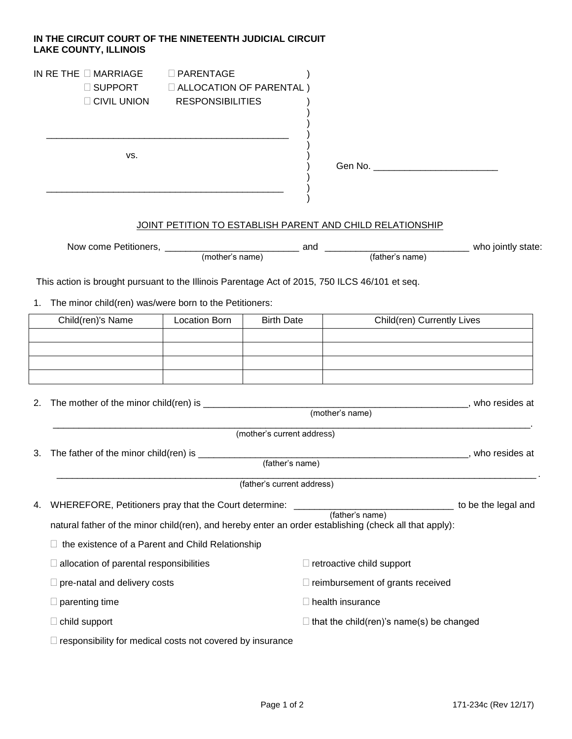## **IN THE CIRCUIT COURT OF THE NINETEENTH JUDICIAL CIRCUIT LAKE COUNTY, ILLINOIS**

| IN RE THE $\Box$ MARRIAGE $\blacksquare$ | $\Box$ PARENTAGE               |
|------------------------------------------|--------------------------------|
| $\Box$ SUPPORT                           | $\Box$ ALLOCATION OF PARENTAL) |
| $\Box$ CIVIL UNION                       | <b>RESPONSIBILITIES</b>        |
|                                          |                                |

\_\_\_\_\_\_\_\_\_\_\_\_\_\_\_\_\_\_\_\_\_\_\_\_\_\_\_\_\_\_\_\_\_\_\_\_\_\_\_\_\_\_\_\_\_\_\_ )

\_\_\_\_\_\_\_\_\_\_\_\_\_\_\_\_\_\_\_\_\_\_\_\_\_\_\_\_\_\_\_\_\_\_\_\_\_\_\_\_\_\_\_\_\_\_ )

 $\mathsf{vs.} \hspace{2em} \hspace{2em}$ 

| I<br>------- |
|--------------|
|--------------|

## JOINT PETITION TO ESTABLISH PARENT AND CHILD RELATIONSHIP

| Now come Petitioners, |                 | and |                 | who jointly state: |
|-----------------------|-----------------|-----|-----------------|--------------------|
|                       | (mother's name) |     | (father's name) |                    |
|                       |                 |     |                 |                    |

) )

)

)

)

This action is brought pursuant to the Illinois Parentage Act of 2015, 750 ILCS 46/101 et seq.

1. The minor child(ren) was/were born to the Petitioners:

| Child(ren)'s Name | Location Born | <b>Birth Date</b> | Child(ren) Currently Lives |
|-------------------|---------------|-------------------|----------------------------|
|                   |               |                   |                            |
|                   |               |                   |                            |
|                   |               |                   |                            |
|                   |               |                   |                            |

| 2. | The mother of the minor child(ren) is |                            | who resides at |
|----|---------------------------------------|----------------------------|----------------|
|    |                                       | (mother's name)            |                |
|    |                                       | (mother's current address) |                |
| 3. | The father of the minor child(ren) is |                            | who resides at |
|    |                                       | (father's name)            |                |

(father's current address)

| 4. WHEREFORE, Petitioners pray that the Court determine:                                               | to be the legal and |
|--------------------------------------------------------------------------------------------------------|---------------------|
| (father's name)                                                                                        |                     |
| natural father of the minor child(ren), and hereby enter an order establishing (check all that apply): |                     |

 $\Box$  the existence of a Parent and Child Relationship

| $\Box$ allocation of parental responsibilities | retroactive child support                          |
|------------------------------------------------|----------------------------------------------------|
| $\Box$ pre-natal and delivery costs            | $\Box$ reimbursement of grants received            |
| $\Box$ parenting time                          | $\Box$ health insurance                            |
| $\Box$ child support                           | $\square$ that the child(ren)'s name(s) be changed |
|                                                |                                                    |

 $\Box$  responsibility for medical costs not covered by insurance